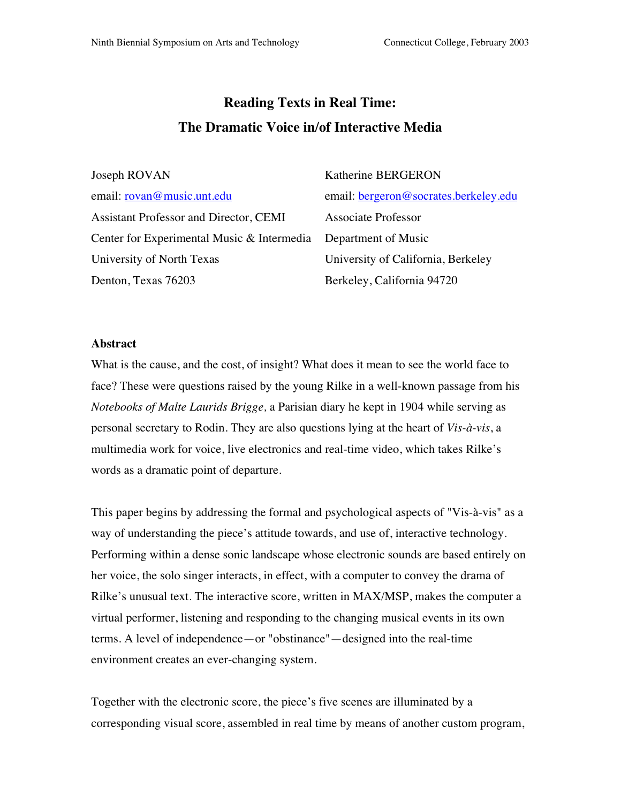# **Reading Texts in Real Time: The Dramatic Voice in/of Interactive Media**

| Joseph ROVAN                                                   | Katherine BERGERON                           |
|----------------------------------------------------------------|----------------------------------------------|
| email: <u>rovan@music.unt.edu</u>                              | email: <u>bergeron@socrates.berkeley.edu</u> |
| <b>Assistant Professor and Director, CEMI</b>                  | <b>Associate Professor</b>                   |
| Center for Experimental Music & Intermedia Department of Music |                                              |
| University of North Texas                                      | University of California, Berkeley           |
| Denton, Texas 76203                                            | Berkeley, California 94720                   |

### **Abstract**

What is the cause, and the cost, of insight? What does it mean to see the world face to face? These were questions raised by the young Rilke in a well-known passage from his *Notebooks of Malte Laurids Brigge,* a Parisian diary he kept in 1904 while serving as personal secretary to Rodin. They are also questions lying at the heart of *Vis-à-vis*, a multimedia work for voice, live electronics and real-time video, which takes Rilke's words as a dramatic point of departure.

This paper begins by addressing the formal and psychological aspects of "Vis-à-vis" as a way of understanding the piece's attitude towards, and use of, interactive technology. Performing within a dense sonic landscape whose electronic sounds are based entirely on her voice, the solo singer interacts, in effect, with a computer to convey the drama of Rilke's unusual text. The interactive score, written in MAX/MSP, makes the computer a virtual performer, listening and responding to the changing musical events in its own terms. A level of independence—or "obstinance"—designed into the real-time environment creates an ever-changing system.

Together with the electronic score, the piece's five scenes are illuminated by a corresponding visual score, assembled in real time by means of another custom program,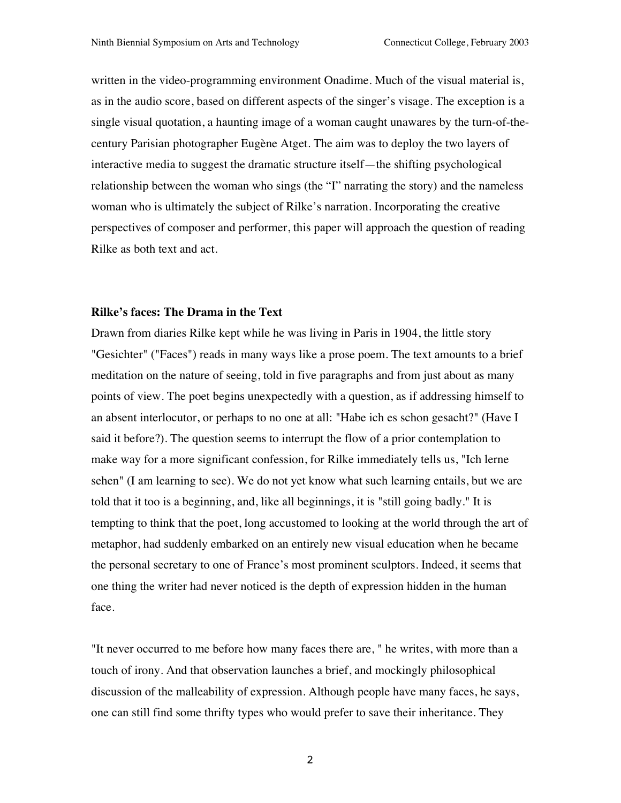written in the video-programming environment Onadime. Much of the visual material is, as in the audio score, based on different aspects of the singer's visage. The exception is a single visual quotation, a haunting image of a woman caught unawares by the turn-of-thecentury Parisian photographer Eugène Atget. The aim was to deploy the two layers of interactive media to suggest the dramatic structure itself—the shifting psychological relationship between the woman who sings (the "I" narrating the story) and the nameless woman who is ultimately the subject of Rilke's narration. Incorporating the creative perspectives of composer and performer, this paper will approach the question of reading Rilke as both text and act.

## **Rilke's faces: The Drama in the Text**

Drawn from diaries Rilke kept while he was living in Paris in 1904, the little story "Gesichter" ("Faces") reads in many ways like a prose poem. The text amounts to a brief meditation on the nature of seeing, told in five paragraphs and from just about as many points of view. The poet begins unexpectedly with a question, as if addressing himself to an absent interlocutor, or perhaps to no one at all: "Habe ich es schon gesacht?" (Have I said it before?). The question seems to interrupt the flow of a prior contemplation to make way for a more significant confession, for Rilke immediately tells us, "Ich lerne sehen" (I am learning to see). We do not yet know what such learning entails, but we are told that it too is a beginning, and, like all beginnings, it is "still going badly." It is tempting to think that the poet, long accustomed to looking at the world through the art of metaphor, had suddenly embarked on an entirely new visual education when he became the personal secretary to one of France's most prominent sculptors. Indeed, it seems that one thing the writer had never noticed is the depth of expression hidden in the human face.

"It never occurred to me before how many faces there are, " he writes, with more than a touch of irony. And that observation launches a brief, and mockingly philosophical discussion of the malleability of expression. Although people have many faces, he says, one can still find some thrifty types who would prefer to save their inheritance. They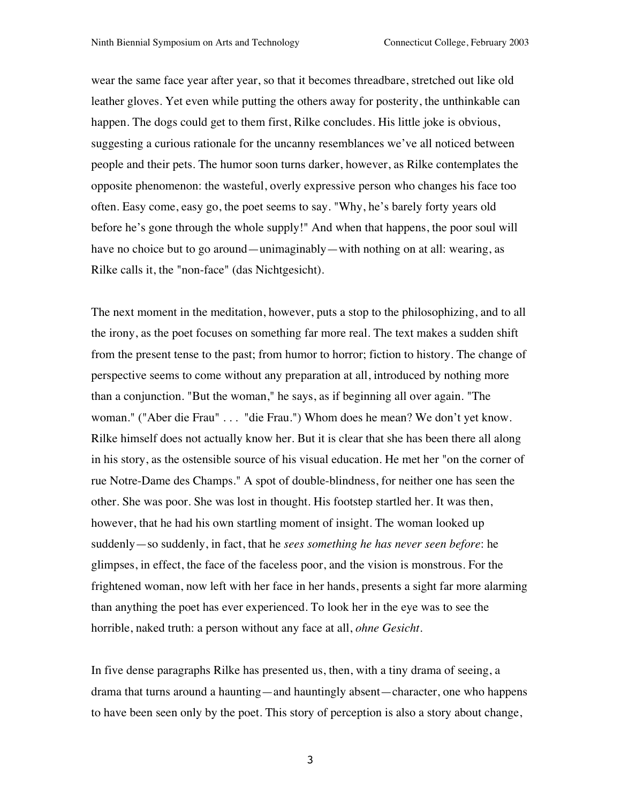wear the same face year after year, so that it becomes threadbare, stretched out like old leather gloves. Yet even while putting the others away for posterity, the unthinkable can happen. The dogs could get to them first, Rilke concludes. His little joke is obvious, suggesting a curious rationale for the uncanny resemblances we've all noticed between people and their pets. The humor soon turns darker, however, as Rilke contemplates the opposite phenomenon: the wasteful, overly expressive person who changes his face too often. Easy come, easy go, the poet seems to say. "Why, he's barely forty years old before he's gone through the whole supply!" And when that happens, the poor soul will have no choice but to go around—unimaginably—with nothing on at all: wearing, as Rilke calls it, the "non-face" (das Nichtgesicht).

The next moment in the meditation, however, puts a stop to the philosophizing, and to all the irony, as the poet focuses on something far more real. The text makes a sudden shift from the present tense to the past; from humor to horror; fiction to history. The change of perspective seems to come without any preparation at all, introduced by nothing more than a conjunction. "But the woman," he says, as if beginning all over again. "The woman." ("Aber die Frau" . . . "die Frau.") Whom does he mean? We don't yet know. Rilke himself does not actually know her. But it is clear that she has been there all along in his story, as the ostensible source of his visual education. He met her "on the corner of rue Notre-Dame des Champs." A spot of double-blindness, for neither one has seen the other. She was poor. She was lost in thought. His footstep startled her. It was then, however, that he had his own startling moment of insight. The woman looked up suddenly—so suddenly, in fact, that he *sees something he has never seen before*: he glimpses, in effect, the face of the faceless poor, and the vision is monstrous. For the frightened woman, now left with her face in her hands, presents a sight far more alarming than anything the poet has ever experienced. To look her in the eye was to see the horrible, naked truth: a person without any face at all, *ohne Gesicht.*

In five dense paragraphs Rilke has presented us, then, with a tiny drama of seeing, a drama that turns around a haunting—and hauntingly absent—character, one who happens to have been seen only by the poet. This story of perception is also a story about change,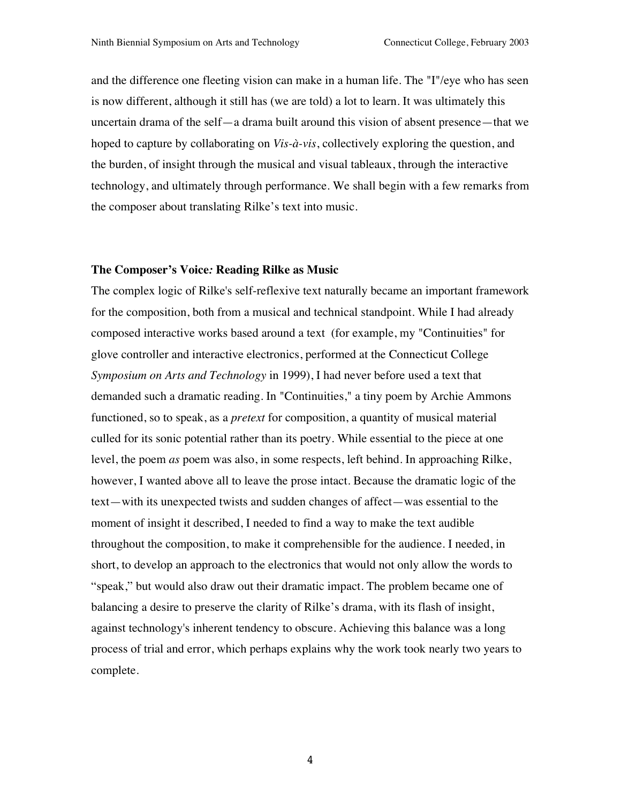and the difference one fleeting vision can make in a human life. The "I"/eye who has seen is now different, although it still has (we are told) a lot to learn. It was ultimately this uncertain drama of the self—a drama built around this vision of absent presence—that we hoped to capture by collaborating on *Vis-à-vis*, collectively exploring the question, and the burden, of insight through the musical and visual tableaux, through the interactive technology, and ultimately through performance. We shall begin with a few remarks from the composer about translating Rilke's text into music.

#### **The Composer's Voice***:* **Reading Rilke as Music**

The complex logic of Rilke's self-reflexive text naturally became an important framework for the composition, both from a musical and technical standpoint. While I had already composed interactive works based around a text (for example, my "Continuities" for glove controller and interactive electronics, performed at the Connecticut College *Symposium on Arts and Technology* in 1999), I had never before used a text that demanded such a dramatic reading. In "Continuities," a tiny poem by Archie Ammons functioned, so to speak, as a *pretext* for composition, a quantity of musical material culled for its sonic potential rather than its poetry. While essential to the piece at one level, the poem *as* poem was also, in some respects, left behind. In approaching Rilke, however, I wanted above all to leave the prose intact. Because the dramatic logic of the text—with its unexpected twists and sudden changes of affect—was essential to the moment of insight it described, I needed to find a way to make the text audible throughout the composition, to make it comprehensible for the audience. I needed, in short, to develop an approach to the electronics that would not only allow the words to "speak," but would also draw out their dramatic impact. The problem became one of balancing a desire to preserve the clarity of Rilke's drama, with its flash of insight, against technology's inherent tendency to obscure. Achieving this balance was a long process of trial and error, which perhaps explains why the work took nearly two years to complete.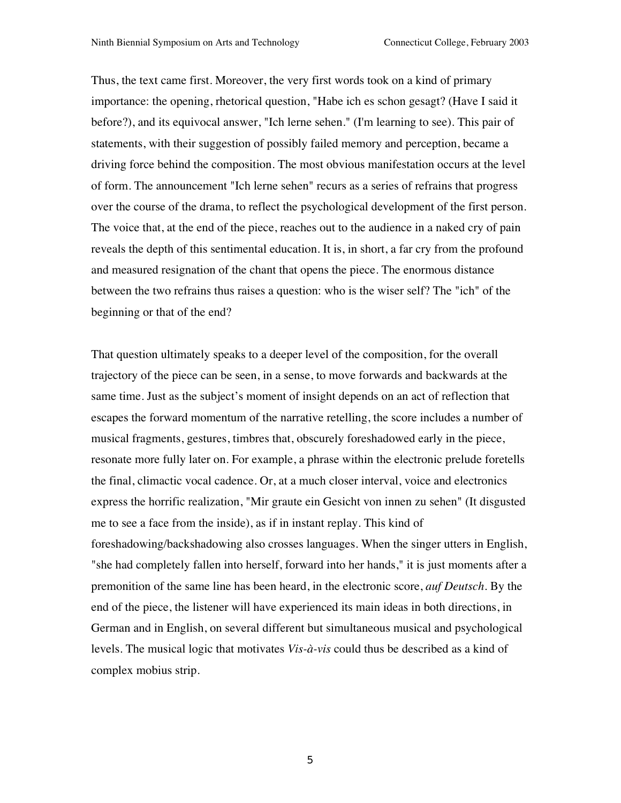Thus, the text came first. Moreover, the very first words took on a kind of primary importance: the opening, rhetorical question, "Habe ich es schon gesagt? (Have I said it before?), and its equivocal answer, "Ich lerne sehen." (I'm learning to see). This pair of statements, with their suggestion of possibly failed memory and perception, became a driving force behind the composition. The most obvious manifestation occurs at the level of form. The announcement "Ich lerne sehen" recurs as a series of refrains that progress over the course of the drama, to reflect the psychological development of the first person. The voice that, at the end of the piece, reaches out to the audience in a naked cry of pain reveals the depth of this sentimental education. It is, in short, a far cry from the profound and measured resignation of the chant that opens the piece. The enormous distance between the two refrains thus raises a question: who is the wiser self? The "ich" of the beginning or that of the end?

That question ultimately speaks to a deeper level of the composition, for the overall trajectory of the piece can be seen, in a sense, to move forwards and backwards at the same time. Just as the subject's moment of insight depends on an act of reflection that escapes the forward momentum of the narrative retelling, the score includes a number of musical fragments, gestures, timbres that, obscurely foreshadowed early in the piece, resonate more fully later on. For example, a phrase within the electronic prelude foretells the final, climactic vocal cadence. Or, at a much closer interval, voice and electronics express the horrific realization, "Mir graute ein Gesicht von innen zu sehen" (It disgusted me to see a face from the inside), as if in instant replay. This kind of foreshadowing/backshadowing also crosses languages. When the singer utters in English, "she had completely fallen into herself, forward into her hands," it is just moments after a premonition of the same line has been heard, in the electronic score, *auf Deutsch*. By the end of the piece, the listener will have experienced its main ideas in both directions, in German and in English, on several different but simultaneous musical and psychological levels. The musical logic that motivates *Vis-à-vis* could thus be described as a kind of complex mobius strip*.*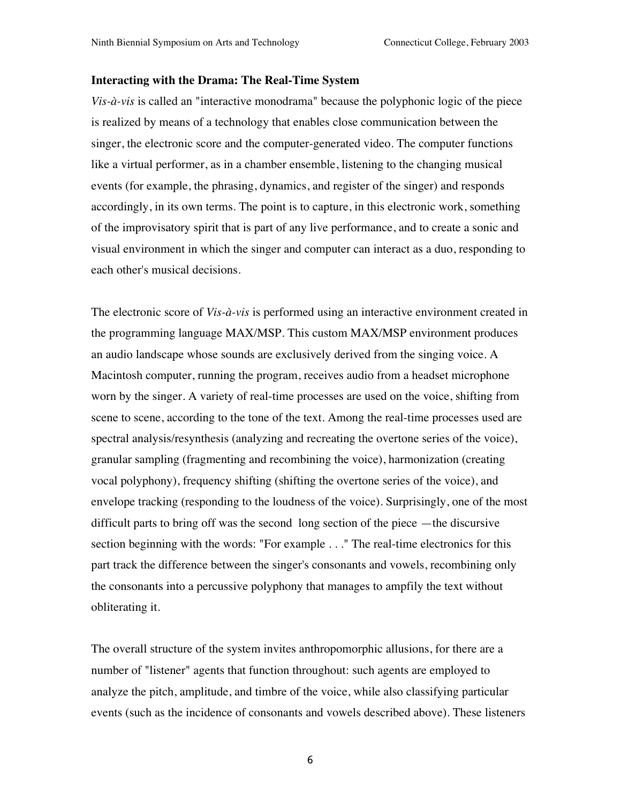#### **Interacting with the Drama: The Real-Time System**

*Vis-à-vis* is called an "interactive monodrama" because the polyphonic logic of the piece is realized by means of a technology that enables close communication between the singer, the electronic score and the computer-generated video. The computer functions like a virtual performer, as in a chamber ensemble, listening to the changing musical events (for example, the phrasing, dynamics, and register of the singer) and responds accordingly, in its own terms. The point is to capture, in this electronic work, something of the improvisatory spirit that is part of any live performance, and to create a sonic and visual environment in which the singer and computer can interact as a duo, responding to each other's musical decisions.

The electronic score of *Vis-à-vis* is performed using an interactive environment created in the programming language MAX/MSP. This custom MAX/MSP environment produces an audio landscape whose sounds are exclusively derived from the singing voice. A Macintosh computer, running the program, receives audio from a headset microphone worn by the singer. A variety of real-time processes are used on the voice, shifting from scene to scene, according to the tone of the text. Among the real-time processes used are spectral analysis/resynthesis (analyzing and recreating the overtone series of the voice), granular sampling (fragmenting and recombining the voice), harmonization (creating vocal polyphony), frequency shifting (shifting the overtone series of the voice), and envelope tracking (responding to the loudness of the voice). Surprisingly, one of the most difficult parts to bring off was the second long section of the piece —the discursive section beginning with the words: "For example . . ." The real-time electronics for this part track the difference between the singer's consonants and vowels, recombining only the consonants into a percussive polyphony that manages to ampfily the text without obliterating it.

The overall structure of the system invites anthropomorphic allusions, for there are a number of "listener" agents that function throughout: such agents are employed to analyze the pitch, amplitude, and timbre of the voice, while also classifying particular events (such as the incidence of consonants and vowels described above). These listeners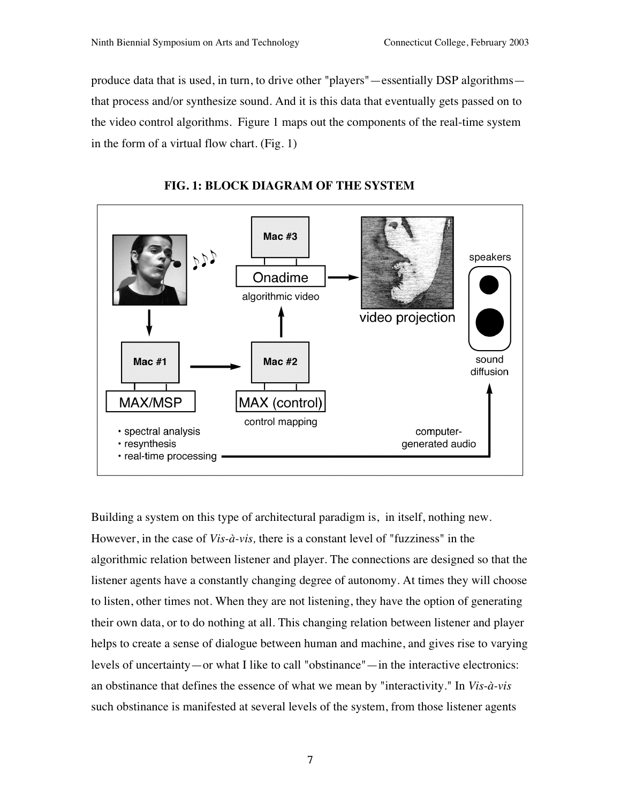produce data that is used, in turn, to drive other "players"—essentially DSP algorithms that process and/or synthesize sound. And it is this data that eventually gets passed on to the video control algorithms. Figure 1 maps out the components of the real-time system in the form of a virtual flow chart. (Fig. 1)



# **FIG. 1: BLOCK DIAGRAM OF THE SYSTEM**

Building a system on this type of architectural paradigm is, in itself, nothing new. However, in the case of *Vis-à-vis,* there is a constant level of "fuzziness" in the algorithmic relation between listener and player. The connections are designed so that the listener agents have a constantly changing degree of autonomy. At times they will choose to listen, other times not. When they are not listening, they have the option of generating their own data, or to do nothing at all. This changing relation between listener and player helps to create a sense of dialogue between human and machine, and gives rise to varying levels of uncertainty—or what I like to call "obstinance"—in the interactive electronics: an obstinance that defines the essence of what we mean by "interactivity." In *Vis-à-vis* such obstinance is manifested at several levels of the system, from those listener agents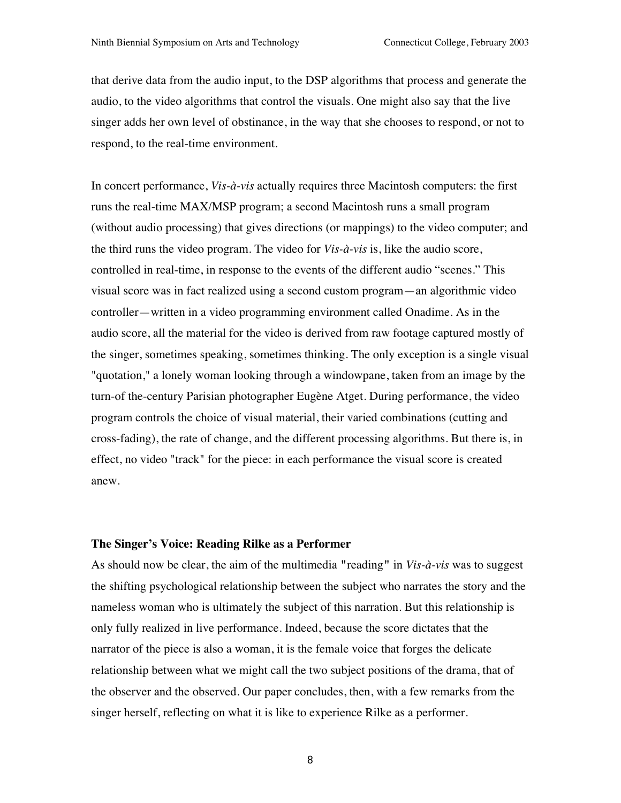that derive data from the audio input, to the DSP algorithms that process and generate the audio, to the video algorithms that control the visuals. One might also say that the live singer adds her own level of obstinance, in the way that she chooses to respond, or not to respond, to the real-time environment.

In concert performance, *Vis-à-vis* actually requires three Macintosh computers: the first runs the real-time MAX/MSP program; a second Macintosh runs a small program (without audio processing) that gives directions (or mappings) to the video computer; and the third runs the video program. The video for *Vis-à-vis* is, like the audio score, controlled in real-time, in response to the events of the different audio "scenes." This visual score was in fact realized using a second custom program—an algorithmic video controller—written in a video programming environment called Onadime. As in the audio score, all the material for the video is derived from raw footage captured mostly of the singer, sometimes speaking, sometimes thinking. The only exception is a single visual "quotation," a lonely woman looking through a windowpane, taken from an image by the turn-of the-century Parisian photographer Eugène Atget. During performance, the video program controls the choice of visual material, their varied combinations (cutting and cross-fading), the rate of change, and the different processing algorithms. But there is, in effect, no video "track" for the piece: in each performance the visual score is created anew.

#### **The Singer's Voice: Reading Rilke as a Performer**

As should now be clear, the aim of the multimedia **"**reading**"** in *Vis-à-vis* was to suggest the shifting psychological relationship between the subject who narrates the story and the nameless woman who is ultimately the subject of this narration. But this relationship is only fully realized in live performance. Indeed, because the score dictates that the narrator of the piece is also a woman, it is the female voice that forges the delicate relationship between what we might call the two subject positions of the drama, that of the observer and the observed. Our paper concludes, then, with a few remarks from the singer herself, reflecting on what it is like to experience Rilke as a performer.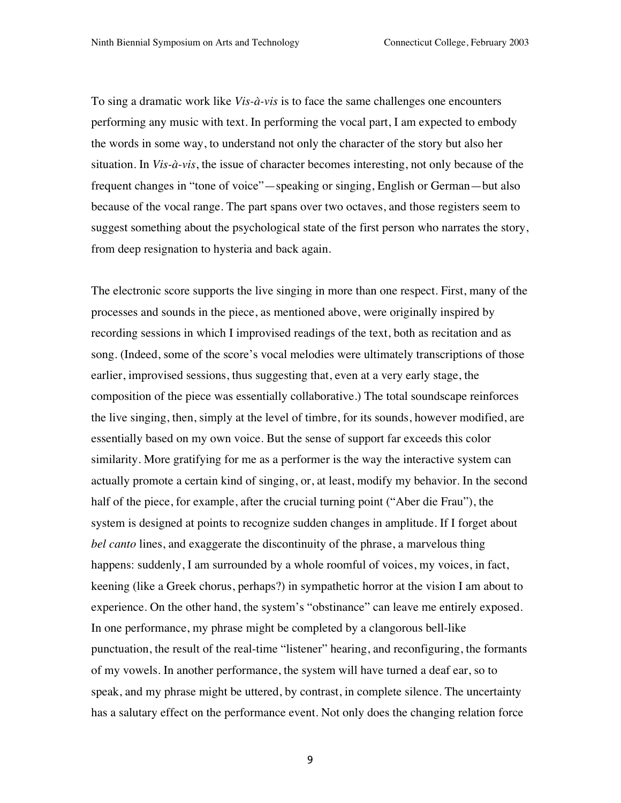To sing a dramatic work like *Vis-à-vis* is to face the same challenges one encounters performing any music with text. In performing the vocal part, I am expected to embody the words in some way, to understand not only the character of the story but also her situation. In *Vis-à-vis*, the issue of character becomes interesting, not only because of the frequent changes in "tone of voice"—speaking or singing, English or German—but also because of the vocal range. The part spans over two octaves, and those registers seem to suggest something about the psychological state of the first person who narrates the story, from deep resignation to hysteria and back again.

The electronic score supports the live singing in more than one respect. First, many of the processes and sounds in the piece, as mentioned above, were originally inspired by recording sessions in which I improvised readings of the text, both as recitation and as song. (Indeed, some of the score's vocal melodies were ultimately transcriptions of those earlier, improvised sessions, thus suggesting that, even at a very early stage, the composition of the piece was essentially collaborative.) The total soundscape reinforces the live singing, then, simply at the level of timbre, for its sounds, however modified, are essentially based on my own voice. But the sense of support far exceeds this color similarity. More gratifying for me as a performer is the way the interactive system can actually promote a certain kind of singing, or, at least, modify my behavior. In the second half of the piece, for example, after the crucial turning point ("Aber die Frau"), the system is designed at points to recognize sudden changes in amplitude. If I forget about *bel canto* lines, and exaggerate the discontinuity of the phrase, a marvelous thing happens: suddenly, I am surrounded by a whole roomful of voices, my voices, in fact, keening (like a Greek chorus, perhaps?) in sympathetic horror at the vision I am about to experience. On the other hand, the system's "obstinance" can leave me entirely exposed. In one performance, my phrase might be completed by a clangorous bell-like punctuation, the result of the real-time "listener" hearing, and reconfiguring, the formants of my vowels. In another performance, the system will have turned a deaf ear, so to speak, and my phrase might be uttered, by contrast, in complete silence. The uncertainty has a salutary effect on the performance event. Not only does the changing relation force